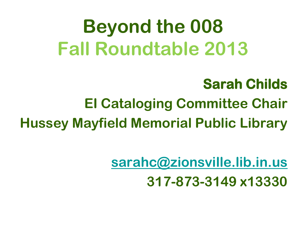### **Beyond the 008 Fall Roundtable 2013**

#### **Sarah Childs**

#### **EI Cataloging Committee Chair**

**Hussey Mayfield Memorial Public Library**

**[sarahc@zionsville.lib.in.us](mailto:sarahc@zionsville.lib.in.us) 317-873-3149 x13330**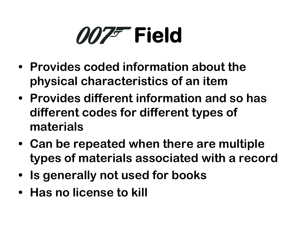## *007<sup>F*</sup> Field

- **• Provides coded information about the physical characteristics of an item**
- **• Provides different information and so has different codes for different types of materials**
- **• Can be repeated when there are multiple types of materials associated with a record**
- **• Is generally not used for books**
- **• Has no license to kill**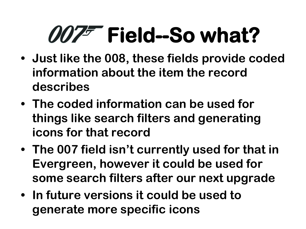# **Field--So what?**

- **• Just like the 008, these fields provide coded information about the item the record describes**
- **• The coded information can be used for things like search filters and generating icons for that record**
- **• The 007 field isn't currently used for that in Evergreen, however it could be used for some search filters after our next upgrade**
- **• In future versions it could be used to generate more specific icons**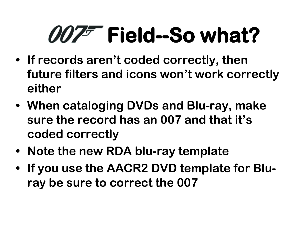# **Field--So what?**

- **• If records aren't coded correctly, then future filters and icons won't work correctly either**
- **• When cataloging DVDs and Blu-ray, make sure the record has an 007 and that it's coded correctly**
- **• Note the new RDA blu-ray template**
- **• If you use the AACR2 DVD template for Bluray be sure to correct the 007**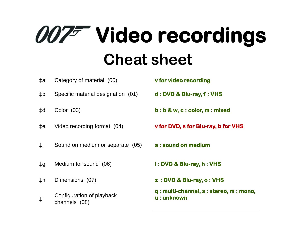## **007 Video recordings Cheat sheet**

- ‡a Category of material (00) **v for video recording**
- ‡b Specific material designation (01) **d : DVD & Blu-ray, f : VHS**
- 
- 
- ‡f Sound on medium or separate (05) **a : sound on medium**
- ‡g Medium for sound (06) **i : DVD & Blu-ray, h : VHS**
- 
- ‡i Configuration of playback channels (08)
- 
- 
- ‡d Color (03) **b : b & w, c : color, m : mixed**
- ‡e Video recording format (04) **v for DVD, s for Blu-ray, b for VHS** 
	-
	-
- ‡h Dimensions (07) **z : DVD & Blu-ray, o : VHS** 
	- **q : multi-channel, s : stereo, m : mono, u : unknown**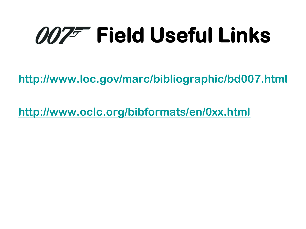# **MIZE Field Useful Links**

**<http://www.loc.gov/marc/bibliographic/bd007.html>**

**<http://www.oclc.org/bibformats/en/0xx.html>**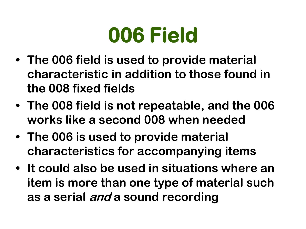### **006 Field**

- **• The 006 field is used to provide material characteristic in addition to those found in the 008 fixed fields**
- **• The 008 field is not repeatable, and the 006 works like a second 008 when needed**
- **• The 006 is used to provide material characteristics for accompanying items**
- **• It could also be used in situations where an item is more than one type of material such as a serial and a sound recording**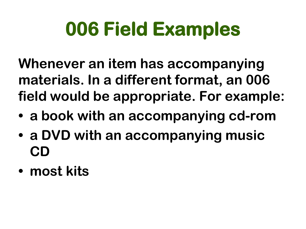### **006 Field Examples**

**Whenever an item has accompanying materials. In a different format, an 006 field would be appropriate. For example:**

- **• a book with an accompanying cd-rom**
- **• a DVD with an accompanying music CD**
- **• most kits**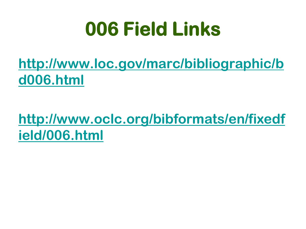### **006 Field Links**

#### **[http://www.loc.gov/marc/bibliographic/b](http://www.loc.gov/marc/bibliographic/bd006.html) [d006.html](http://www.loc.gov/marc/bibliographic/bd006.html)**

#### **[http://www.oclc.org/bibformats/en/fixedf](http://www.oclc.org/bibformats/en/fixedfield/006.html) [ield/006.html](http://www.oclc.org/bibformats/en/fixedfield/006.html)**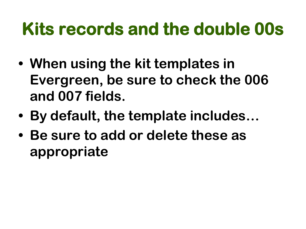### **Kits records and the double 00s**

- **• When using the kit templates in Evergreen, be sure to check the 006 and 007 fields.**
- **• By default, the template includes…**
- **• Be sure to add or delete these as appropriate**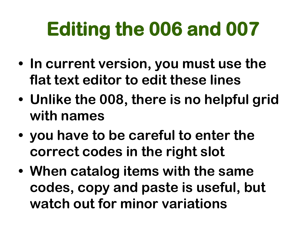### **Editing the 006 and 007**

- **• In current version, you must use the flat text editor to edit these lines**
- **• Unlike the 008, there is no helpful grid with names**
- **• you have to be careful to enter the correct codes in the right slot**
- **• When catalog items with the same codes, copy and paste is useful, but watch out for minor variations**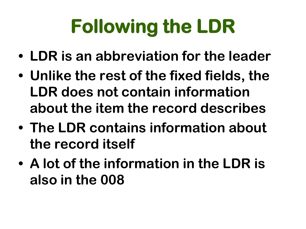# **Following the LDR**

- **• LDR is an abbreviation for the leader**
- **• Unlike the rest of the fixed fields, the LDR does not contain information about the item the record describes**
- **• The LDR contains information about the record itself**
- **• A lot of the information in the LDR is also in the 008**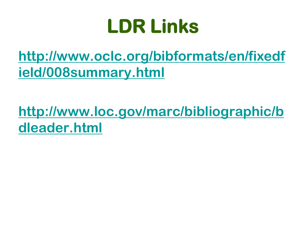### **LDR Links**

#### **[http://www.oclc.org/bibformats/en/fixedf](http://www.oclc.org/bibformats/en/fixedfield/008summary.html) [ield/008summary.html](http://www.oclc.org/bibformats/en/fixedfield/008summary.html)**

#### **[http://www.loc.gov/marc/bibliographic/b](http://www.loc.gov/marc/bibliographic/bdleader.html) [dleader.html](http://www.loc.gov/marc/bibliographic/bdleader.html)**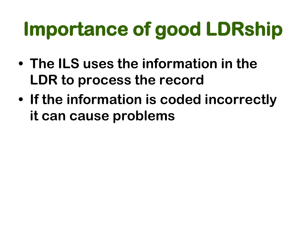## **Importance of good LDRship**

- **• The ILS uses the information in the LDR to process the record**
- **• If the information is coded incorrectly it can cause problems**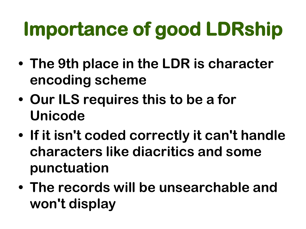## **Importance of good LDRship**

- **• The 9th place in the LDR is character encoding scheme**
- **• Our ILS requires this to be a for Unicode**
- **• If it isn't coded correctly it can't handle characters like diacritics and some punctuation**
- **• The records will be unsearchable and won't display**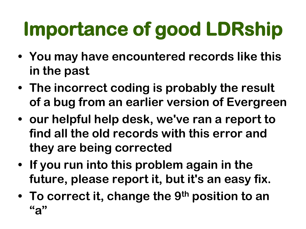# **Importance of good LDRship**

- **• You may have encountered records like this in the past**
- **• The incorrect coding is probably the result of a bug from an earlier version of Evergreen**
- **• our helpful help desk, we've ran a report to find all the old records with this error and they are being corrected**
- **• If you run into this problem again in the future, please report it, but it's an easy fix.**
- **• To correct it, change the 9th position to an "a"**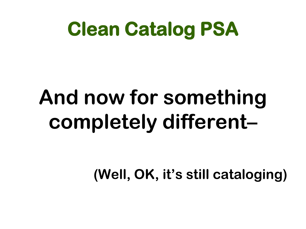### **Clean Catalog PSA**

# **And now for something completely different–**

**(Well, OK, it's still cataloging)**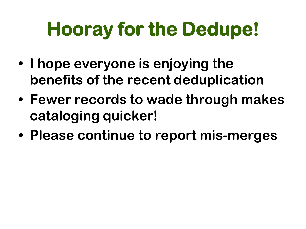## **Hooray for the Dedupe!**

- **• I hope everyone is enjoying the benefits of the recent deduplication**
- **• Fewer records to wade through makes cataloging quicker!**
- **• Please continue to report mis-merges**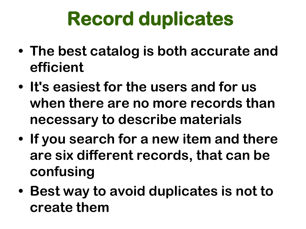### **Record duplicates**

- **• The best catalog is both accurate and efficient**
- **• It's easiest for the users and for us when there are no more records than necessary to describe materials**
- **• If you search for a new item and there are six different records, that can be confusing**
- **• Best way to avoid duplicates is not to create them**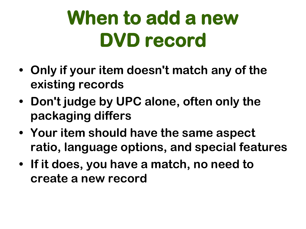### **When to add a new DVD record**

- **• Only if your item doesn't match any of the existing records**
- **• Don't judge by UPC alone, often only the packaging differs**
- **• Your item should have the same aspect ratio, language options, and special features**
- **• If it does, you have a match, no need to create a new record**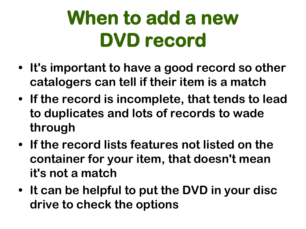### **When to add a new DVD record**

- **• It's important to have a good record so other catalogers can tell if their item is a match**
- **• If the record is incomplete, that tends to lead to duplicates and lots of records to wade through**
- **• If the record lists features not listed on the container for your item, that doesn't mean it's not a match**
- **• It can be helpful to put the DVD in your disc drive to check the options**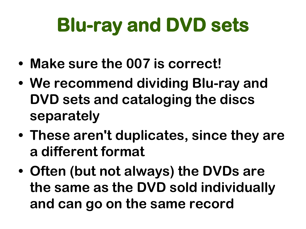### **Blu-ray and DVD sets**

- **• Make sure the 007 is correct!**
- **• We recommend dividing Blu-ray and DVD sets and cataloging the discs separately**
- **• These aren't duplicates, since they are a different format**
- **• Often (but not always) the DVDs are the same as the DVD sold individually and can go on the same record**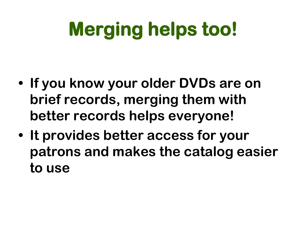## **Merging helps too!**

- **• If you know your older DVDs are on brief records, merging them with better records helps everyone!**
- **• It provides better access for your patrons and makes the catalog easier to use**